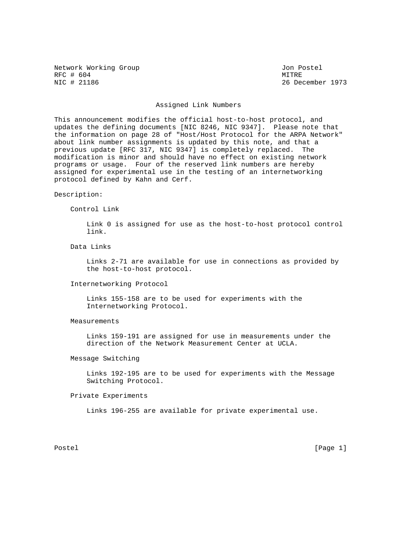Network Working Group and the United States of Postel and Postel RFC # 604 MITRE NIC # 21186 MITRE 2018

26 December 1973

### Assigned Link Numbers

This announcement modifies the official host-to-host protocol, and updates the defining documents [NIC 8246, NIC 9347]. Please note that the information on page 28 of "Host/Host Protocol for the ARPA Network" about link number assignments is updated by this note, and that a previous update [RFC 317, NIC 9347] is completely replaced. The modification is minor and should have no effect on existing network programs or usage. Four of the reserved link numbers are hereby assigned for experimental use in the testing of an internetworking protocol defined by Kahn and Cerf.

#### Description:

#### Control Link

 Link 0 is assigned for use as the host-to-host protocol control link.

### Data Links

 Links 2-71 are available for use in connections as provided by the host-to-host protocol.

#### Internetworking Protocol

 Links 155-158 are to be used for experiments with the Internetworking Protocol.

## Measurements

 Links 159-191 are assigned for use in measurements under the direction of the Network Measurement Center at UCLA.

### Message Switching

 Links 192-195 are to be used for experiments with the Message Switching Protocol.

## Private Experiments

Links 196-255 are available for private experimental use.

Postel [Page 1] [Page 1]